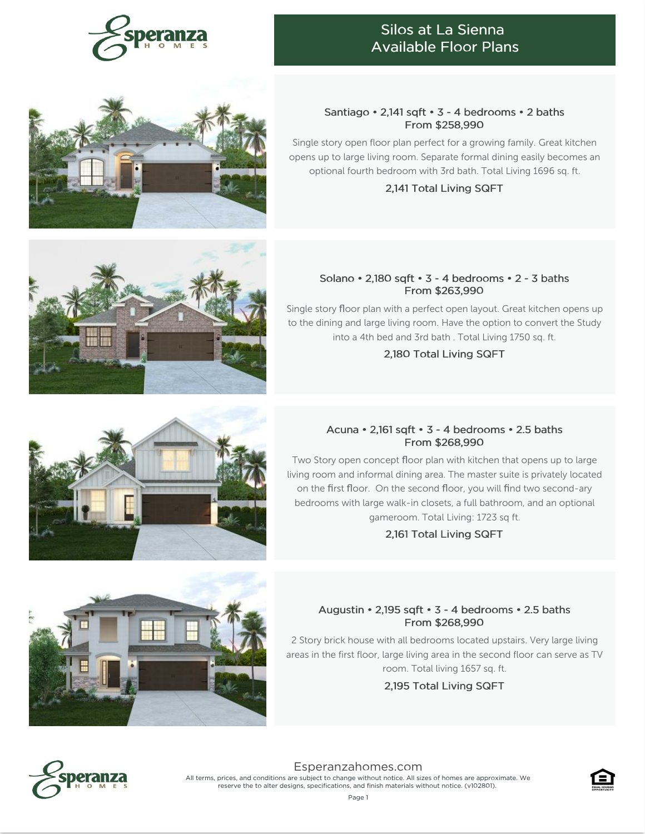

# Silos at La Sienna Available Floor Plans



# Santiago • 2,141 sqft • 3 - 4 bedrooms • 2 baths From \$258,990

Single story open floor plan perfect for a growing family. Great kitchen opens up to large living room. Separate formal dining easily becomes an optional fourth bedroom with 3rd bath. Total Living 1696 sq. ft.

#### 2,141 Total Living SQFT



Single story floor plan with a perfect open layout. Great kitchen opens up to the dining and large living room. Have the option to convert the Study into a 4th bed and 3rd bath . Total Living 1750 sq. ft.

2,180 Total Living SQFT

## Acuna • 2,161 sqft • 3 - 4 bedrooms • 2.5 baths From \$268,990

Two Story open concept floor plan with kitchen that opens up to large living room and informal dining area. The master suite is privately located on the first floor. On the second floor, you will find two second-ary bedrooms with large walk-in closets, a full bathroom, and an optional gameroom. Total Living: 1723 sq ft.

2,161 Total Living SQFT

# Augustin • 2,195 sqft • 3 - 4 bedrooms • 2.5 baths From \$268,990

2 Story brick house with all bedrooms located upstairs. Very large living areas in the first floor, large living area in the second floor can serve as TV room. Total living 1657 sq. ft.

2,195 Total Living SQFT



[Esperanzahomes.com](https://www.esperanzahomes.com) All terms, prices, and conditions are subject to change without notice. All sizes of homes are approximate. We reserve the to alter designs, specifications, and finish materials without notice. (v102801).





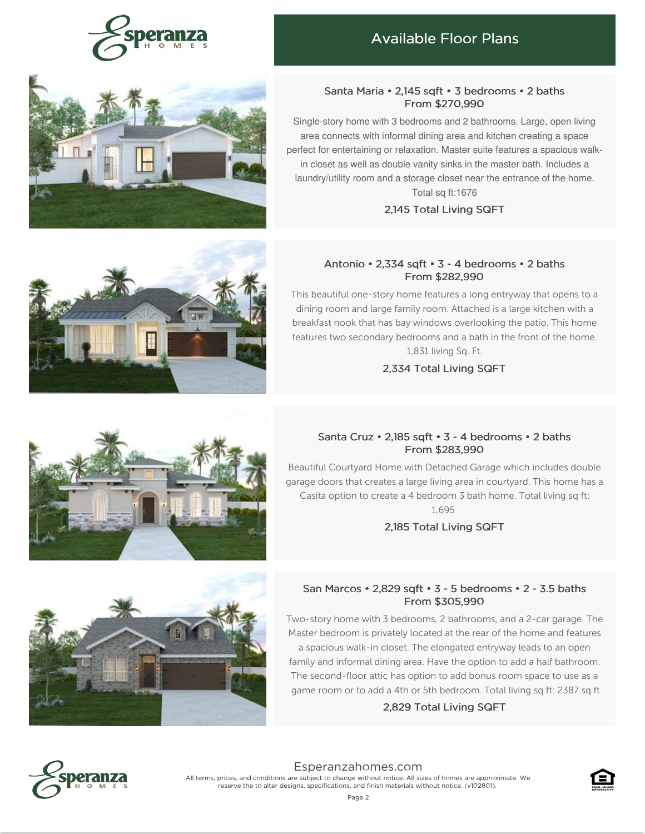

# Available Floor Plans



#### Santa Maria • 2,145 sqft • 3 bedrooms • 2 baths From \$270,990

Single-story home with 3 bedrooms and 2 bathrooms. Large, open living area connects with informal dining area and kitchen creating a space perfect for entertaining or relaxation. Master suite features a spacious walkin closet as well as double vanity sinks in the master bath. Includes a laundry/utility room and a storage closet near the entrance of the home. Total sq ft:1676

## 2,145 Total Living SQFT

#### Antonio • 2,334 sqft • 3 - 4 bedrooms • 2 baths From \$282,990

This beautiful one-story home features a long entryway that opens to a dining room and large family room. Attached is a large kitchen with a breakfast nook that has bay windows overlooking the patio. This home features two secondary bedrooms and a bath in the front of the home. 1,831 living Sq. Ft.

#### 2,334 Total Living SQFT

# Santa Cruz • 2,185 sqft • 3 - 4 bedrooms • 2 baths From \$283,990

Beautiful Courtyard Home with Detached Garage which includes double garage doors that creates a large living area in courtyard. This home has a Casita option to create a 4 bedroom 3 bath home. Total living sq ft: 1,695

2,185 Total Living SQFT



## San Marcos • 2,829 sqft • 3 - 5 bedrooms • 2 - 3.5 baths From \$305,990

Two-story home with 3 bedrooms, 2 bathrooms, and a 2-car garage. The Master bedroom is privately located at the rear of the home and features a spacious walk-in closet. The elongated entryway leads to an open family and informal dining area. Have the option to add a half bathroom. The second-floor attic has option to add bonus room space to use as a

# game room or to add a 4th or 5th bedroom. Total living sq ft: 2387 sq ft 2,829 Total Living SQFT



[Esperanzahomes.com](https://www.esperanzahomes.com) All terms, prices, and conditions are subject to change without notice. All sizes of homes are approximate. We reserve the to alter designs, specifications, and finish materials without notice. (v102801).



Page 2



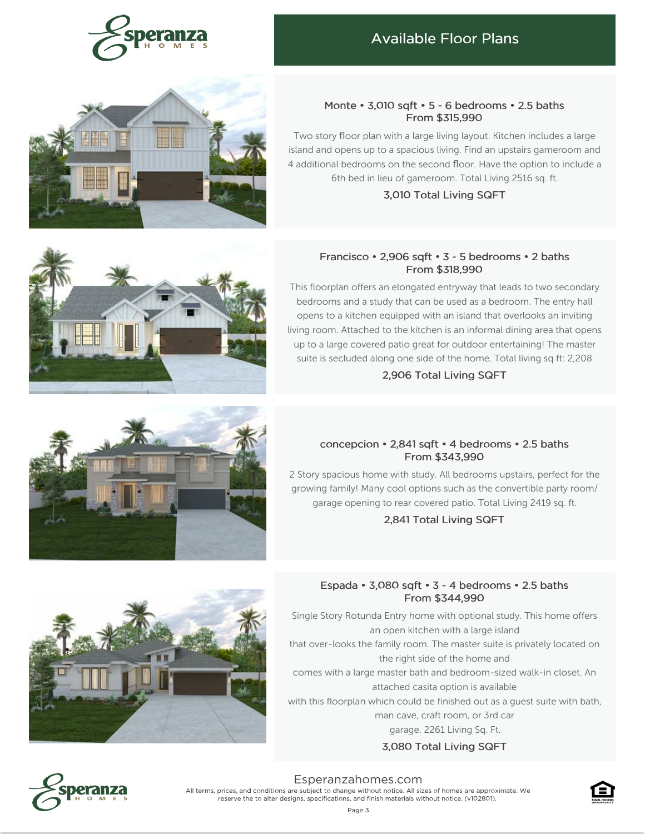

# Available Floor Plans



#### Monte • 3,010 sqft • 5 - 6 bedrooms • 2.5 baths From \$315,990

Two story floor plan with a large living layout. Kitchen includes a large island and opens up to a spacious living. Find an upstairs gameroom and 4 additional bedrooms on the second floor. Have the option to include a 6th bed in lieu of gameroom. Total Living 2516 sq. ft.

#### 3,010 Total Living SQFT

#### Francisco • 2,906 sqft • 3 - 5 bedrooms • 2 baths From \$318,990

This floorplan offers an elongated entryway that leads to two secondary bedrooms and a study that can be used as a bedroom. The entry hall opens to a kitchen equipped with an island that overlooks an inviting living room. Attached to the kitchen is an informal dining area that opens up to a large covered patio great for outdoor entertaining! The master suite is secluded along one side of the home. Total living sq ft: 2,208

#### 2,906 Total Living SQFT

# concepcion • 2,841 sqft • 4 bedrooms • 2.5 baths From \$343,990

2 Story spacious home with study. All bedrooms upstairs, perfect for the growing family! Many cool options such as the convertible party room/ garage opening to rear covered patio. Total Living 2419 sq. ft.

## 2,841 Total Living SQFT



## Espada • 3,080 sqft • 3 - 4 bedrooms • 2.5 baths From \$344,990

Single Story Rotunda Entry home with optional study. This home offers an open kitchen with a large island that over-looks the family room. The master suite is privately located on the right side of the home and comes with a large master bath and bedroom-sized walk-in closet. An attached casita option is available

with this floorplan which could be finished out as a guest suite with bath,

man cave, craft room, or 3rd car

garage. 2261 Living Sq. Ft.

## 3,080 Total Living SQFT



[Esperanzahomes.com](https://www.esperanzahomes.com) All terms, prices, and conditions are subject to change without notice. All sizes of homes are approximate. We reserve the to alter designs, specifications, and finish materials without notice. (v102801).